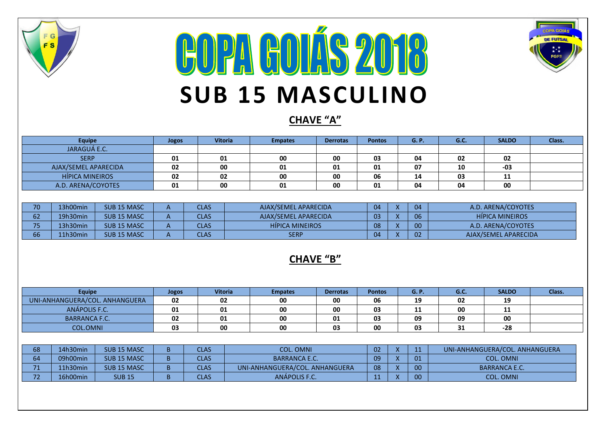

## **COPA GOLÍS 2018 SUB 15 MASCULINO**



### **CHAVE "A"**

| <b>Equipe</b>          | Jogos | <b>Vitoria</b> | <b>Empates</b> | <b>Derrotas</b> | <b>Pontos</b> | <b>G.P.</b> | G.C. | <b>SALDO</b> | Class. |
|------------------------|-------|----------------|----------------|-----------------|---------------|-------------|------|--------------|--------|
| JARAGUÁ E.C.           |       |                |                |                 |               |             |      |              |        |
| <b>SERP</b>            | 01    | 01             | 00             | 00              | 03            | 04          | 02   | 02           |        |
| AJAX/SEMEL APARECIDA   | 02    | 00             | 01             | 01              | 01            | 07          | 10   | -03          |        |
| <b>HÍPICA MINEIROS</b> | 02    | 02             | 00             | 00              | 06            | 14          | 03   | 11           |        |
| A.D. ARENA/COYOTES     | 01    | 00             | 01             | 00              | 01            | 04          | 04   | 00           |        |

| 70.<br>.u | 3h00min  | SUB <sub>15</sub> MASC | <b>CLAS</b> | AJAX/SEMEL APARECIDA   | 04 | 04 | A.D. ARENA/COYOTES     |
|-----------|----------|------------------------|-------------|------------------------|----|----|------------------------|
| - -<br>b۷ | 19h30min | SUB <sub>15</sub> MASC | CLAS        | AJAX/SEMEL APARECIDA   | 03 | 06 | <b>HIPICA MINEIROS</b> |
| – –       | '3h30min | SUB <sub>15</sub> MASC | CLAS        | <b>HIPICA MINEIROS</b> | 08 | 00 | A.D. ARENA/COYOTES     |
| 66        | L1h30min | SUB <sub>15</sub> MASC | <b>CLAS</b> | <b>SERP</b>            | 04 | 02 | AJAX/SEMEL APARECIDA   |

#### **CHAVE "B"**

| <b>Equipe</b>                  | Jogos | <b>Vitoria</b> | <b>Empates</b> | <b>Derrotas</b> | <b>Pontos</b> | G.P | G.C.     | <b>SALDO</b> | Class. |
|--------------------------------|-------|----------------|----------------|-----------------|---------------|-----|----------|--------------|--------|
| JNI-ANHANGUERA/COL. ANHANGUERA | 02    | 02             | 00             | 00              | 06            | 19  | 02       | 19           |        |
| ANÁPOLIS F.C.                  | 01    | 01             | 00             | 00              | 03            | . . | 00       | 11           |        |
| <b>BARRANCA F.C.</b>           | 02    | 01             | 00             | 01              | 03            | 09  | 09       | 00           |        |
| <b>L.OMNI</b><br>COL           | 03    | 00             | 00             | 03              | 00            | 03  | 21<br>эπ | $-28$        |        |

| r o  | 14h30min | SUB <sub>15</sub> MASC | <b>CLAS</b> | <b>COL. OMNI</b>               | 02  | $\lambda$<br>$\sqrt{ }$  |    | UNI-ANHANGUERA/COL. ANHANGUERA |
|------|----------|------------------------|-------------|--------------------------------|-----|--------------------------|----|--------------------------------|
| $-1$ | 09h00min | SUB <sub>15</sub> MASC | <b>CLAS</b> | <b>BARRANCA E.C.</b>           | 09  | $\lambda$                | 01 | <b>COL. OMNI</b>               |
| 54.  | 11h30min | SUB <sub>15</sub> MASC | <b>CLAS</b> | UNI-ANHANGUERA/COL. ANHANGUERA | 08  | $\lambda$                | 00 | <b>BARRANCA E.C.</b>           |
|      | 16h00min | <b>SUB 15</b>          | CLAS        | <b>ANAPOLIS F.C.</b>           | . . | $\overline{\phantom{a}}$ | 00 | <b>COL. OMNI</b>               |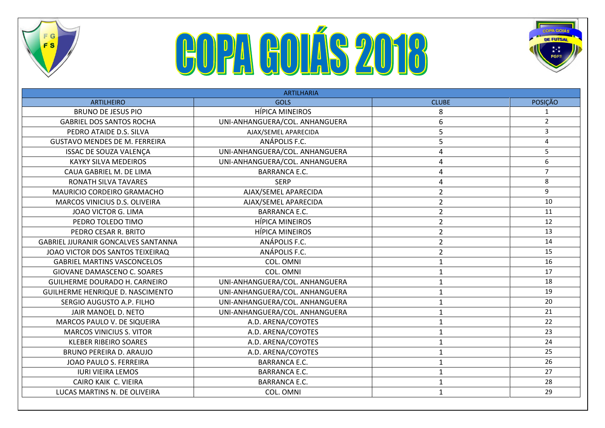

# **COPA GOLÁS 2018**



| <b>ARTILHARIA</b>                          |                                |                |                |  |  |  |  |
|--------------------------------------------|--------------------------------|----------------|----------------|--|--|--|--|
| <b>ARTILHEIRO</b>                          | <b>GOLS</b>                    | <b>CLUBE</b>   | <b>POSIÇÃO</b> |  |  |  |  |
| <b>BRUNO DE JESUS PIO</b>                  | <b>HÍPICA MINEIROS</b>         | 8              |                |  |  |  |  |
| <b>GABRIEL DOS SANTOS ROCHA</b>            | UNI-ANHANGUERA/COL. ANHANGUERA | 6              | $\overline{2}$ |  |  |  |  |
| PEDRO ATAIDE D.S. SILVA                    | AJAX/SEMEL APARECIDA           | 5              | $\overline{3}$ |  |  |  |  |
| <b>GUSTAVO MENDES DE M. FERREIRA</b>       | ANÁPOLIS F.C.                  | 5              | $\overline{4}$ |  |  |  |  |
| ISSAC DE SOUZA VALENÇA                     | UNI-ANHANGUERA/COL. ANHANGUERA | 4              | 5              |  |  |  |  |
| <b>KAYKY SILVA MEDEIROS</b>                | UNI-ANHANGUERA/COL. ANHANGUERA | 4              | 6              |  |  |  |  |
| CAUA GABRIEL M. DE LIMA                    | <b>BARRANCA E.C.</b>           | 4              | $\overline{7}$ |  |  |  |  |
| RONATH SILVA TAVARES                       | <b>SERP</b>                    | 4              | 8              |  |  |  |  |
| MAURICIO CORDEIRO GRAMACHO                 | AJAX/SEMEL APARECIDA           | $\overline{2}$ | 9              |  |  |  |  |
| MARCOS VINICIUS D.S. OLIVEIRA              | AJAX/SEMEL APARECIDA           | $\overline{2}$ | 10             |  |  |  |  |
| JOAO VICTOR G. LIMA                        | <b>BARRANCA E.C.</b>           | $\overline{2}$ | 11             |  |  |  |  |
| PEDRO TOLEDO TIMO                          | <b>HÍPICA MINEIROS</b>         | $\overline{2}$ | 12             |  |  |  |  |
| PEDRO CESAR R. BRITO                       | <b>HÍPICA MINEIROS</b>         | $\overline{2}$ | 13             |  |  |  |  |
| <b>GABRIEL JJURANIR GONCALVES SANTANNA</b> | ANÁPOLIS F.C.                  | $\overline{2}$ | 14             |  |  |  |  |
| JOAO VICTOR DOS SANTOS TEIXEIRAQ           | ANÁPOLIS F.C.                  | $\overline{2}$ | 15             |  |  |  |  |
| <b>GABRIEL MARTINS VASCONCELOS</b>         | COL. OMNI                      | $\mathbf{1}$   | 16             |  |  |  |  |
| GIOVANE DAMASCENO C. SOARES                | COL. OMNI                      | $\mathbf{1}$   | 17             |  |  |  |  |
| GUILHERME DOURADO H. CARNEIRO              | UNI-ANHANGUERA/COL. ANHANGUERA | $\mathbf{1}$   | 18             |  |  |  |  |
| GUILHERME HENRIQUE D. NASCIMENTO           | UNI-ANHANGUERA/COL. ANHANGUERA | $\mathbf{1}$   | 19             |  |  |  |  |
| SERGIO AUGUSTO A.P. FILHO                  | UNI-ANHANGUERA/COL. ANHANGUERA | $\mathbf{1}$   | 20             |  |  |  |  |
| JAIR MANOEL D. NETO                        | UNI-ANHANGUERA/COL. ANHANGUERA | $\mathbf{1}$   | 21             |  |  |  |  |
| MARCOS PAULO V. DE SIQUEIRA                | A.D. ARENA/COYOTES             | $\mathbf{1}$   | 22             |  |  |  |  |
| <b>MARCOS VINICIUS S. VITOR</b>            | A.D. ARENA/COYOTES             | $\mathbf{1}$   | 23             |  |  |  |  |
| <b>KLEBER RIBEIRO SOARES</b>               | A.D. ARENA/COYOTES             | $\mathbf{1}$   | 24             |  |  |  |  |
| <b>BRUNO PEREIRA D. ARAUJO</b>             | A.D. ARENA/COYOTES             | $\mathbf{1}$   | 25             |  |  |  |  |
| JOAO PAULO S. FERREIRA                     | <b>BARRANCA E.C.</b>           | $\mathbf{1}$   | 26             |  |  |  |  |
| <b>IURI VIEIRA LEMOS</b>                   | <b>BARRANCA E.C.</b>           | $\mathbf{1}$   | 27             |  |  |  |  |
| CAIRO KAIK C. VIEIRA                       | <b>BARRANCA E.C.</b>           | 1              | 28             |  |  |  |  |
| LUCAS MARTINS N. DE OLIVEIRA               | COL. OMNI                      | $\mathbf{1}$   | 29             |  |  |  |  |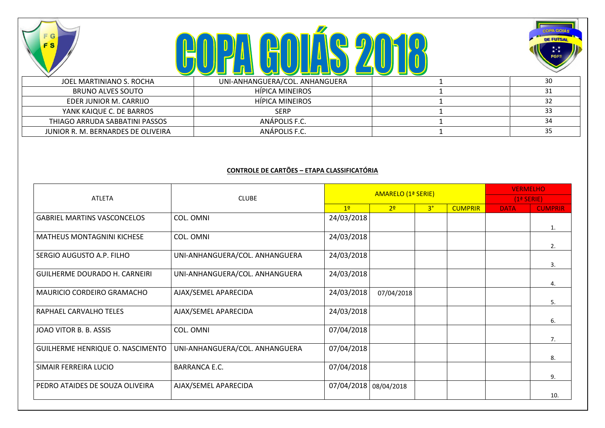





|                                    | <u>S S S S S S S S S S S S S S S S </u> |    |
|------------------------------------|-----------------------------------------|----|
| JOEL MARTINIANO S. ROCHA           | UNI-ANHANGUERA/COL. ANHANGUERA          | 30 |
| BRUNO ALVES SOUTO                  | HIPICA MINEIROS                         |    |
| EDER JUNIOR M. CARRIJO             | HIPICA MINEIROS                         |    |
| YANK KAIQUE C. DE BARROS           | <b>SERP</b>                             |    |
| THIAGO ARRUDA SABBATINI PASSOS     | ANAPOLIS F.C.                           |    |
| JUNIOR R. M. BERNARDES DE OLIVEIRA | ANÁPOLIS F.C.                           |    |

#### **CONTROLE DE CARTÕES – ETAPA CLASSIFICATÓRIA**

|                                    |                                |                       | AMARELO (1ª SERIE) | <b>VERMELHO</b> |                |             |                |
|------------------------------------|--------------------------------|-----------------------|--------------------|-----------------|----------------|-------------|----------------|
| <b>ATLETA</b>                      | <b>CLUBE</b>                   |                       |                    |                 | $(1a$ SERIE)   |             |                |
|                                    |                                | 1 <sup>o</sup>        | 2 <sup>o</sup>     | 3 <sup>°</sup>  | <b>CUMPRIR</b> | <b>DATA</b> | <b>CUMPRIR</b> |
| <b>GABRIEL MARTINS VASCONCELOS</b> | COL. OMNI                      | 24/03/2018            |                    |                 |                |             | 1.             |
| <b>MATHEUS MONTAGNINI KICHESE</b>  | COL. OMNI                      | 24/03/2018            |                    |                 |                |             | 2.             |
| SERGIO AUGUSTO A.P. FILHO          | UNI-ANHANGUERA/COL. ANHANGUERA | 24/03/2018            |                    |                 |                |             | 3.             |
| GUILHERME DOURADO H. CARNEIRI      | UNI-ANHANGUERA/COL. ANHANGUERA | 24/03/2018            |                    |                 |                |             | 4.             |
| MAURICIO CORDEIRO GRAMACHO         | AJAX/SEMEL APARECIDA           | 24/03/2018            | 07/04/2018         |                 |                |             | 5.             |
| RAPHAEL CARVALHO TELES             | AJAX/SEMEL APARECIDA           | 24/03/2018            |                    |                 |                |             | 6.             |
| JOAO VITOR B. B. ASSIS             | COL. OMNI                      | 07/04/2018            |                    |                 |                |             | 7.             |
| GUILHERME HENRIQUE O. NASCIMENTO   | UNI-ANHANGUERA/COL. ANHANGUERA | 07/04/2018            |                    |                 |                |             | 8.             |
| SIMAIR FERREIRA LUCIO              | <b>BARRANCA E.C.</b>           | 07/04/2018            |                    |                 |                |             | 9.             |
| PEDRO ATAIDES DE SOUZA OLIVEIRA    | AJAX/SEMEL APARECIDA           | 07/04/2018 08/04/2018 |                    |                 |                |             | 10.            |